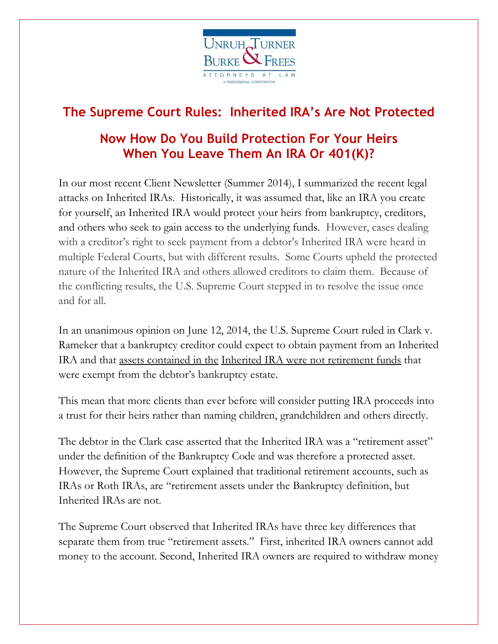

# **The Supreme Court Rules: Inherited IRA's Are Not Protected**

# **Now How Do You Build Protection For Your Heirs When You Leave Them An IRA Or 401(K)?**

In our most recent Client Newsletter (Summer 2014), I summarized the recent legal attacks on Inherited IRAs. Historically, it was assumed that, like an IRA you create for yourself, an Inherited IRA would protect your heirs from bankruptcy, creditors, and others who seek to gain access to the underlying funds. However, cases dealing with a creditor's right to seek payment from a debtor's Inherited IRA were heard in multiple Federal Courts, but with different results. Some Courts upheld the protected nature of the Inherited IRA and others allowed creditors to claim them. Because of the conflicting results, the U.S. Supreme Court stepped in to resolve the issue once and for all.

In an unanimous opinion on June 12, 2014, the U.S. Supreme Court ruled in Clark v. Rameker that a bankruptcy creditor could expect to obtain payment from an Inherited IRA and that assets contained in the Inherited IRA were not retirement funds that were exempt from the debtor's bankruptcy estate.

This mean that more clients than ever before will consider putting IRA proceeds into a trust for their heirs rather than naming children, grandchildren and others directly.

The debtor in the Clark case asserted that the Inherited IRA was a "retirement asset" under the definition of the Bankruptcy Code and was therefore a protected asset. However, the Supreme Court explained that traditional retirement accounts, such as IRAs or Roth IRAs, are "retirement assets under the Bankruptcy definition, but Inherited IRAs are not.

The Supreme Court observed that Inherited IRAs have three key differences that separate them from true "retirement assets." First, inherited IRA owners cannot add money to the account. Second, Inherited IRA owners are required to withdraw money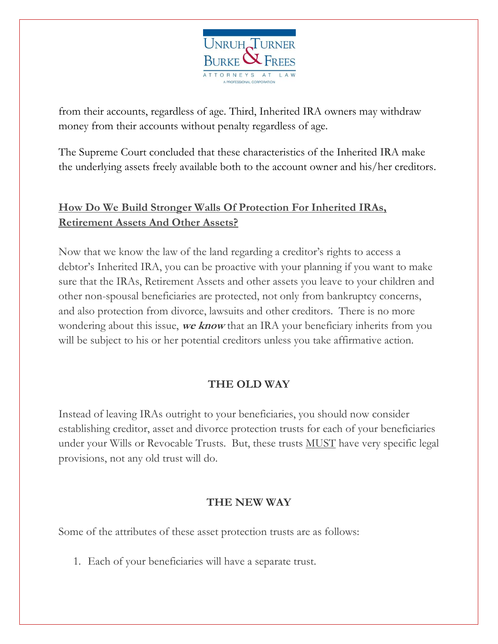

from their accounts, regardless of age. Third, Inherited IRA owners may withdraw money from their accounts without penalty regardless of age.

The Supreme Court concluded that these characteristics of the Inherited IRA make the underlying assets freely available both to the account owner and his/her creditors.

### **How Do We Build Stronger Walls Of Protection For Inherited IRAs, Retirement Assets And Other Assets?**

Now that we know the law of the land regarding a creditor's rights to access a debtor's Inherited IRA, you can be proactive with your planning if you want to make sure that the IRAs, Retirement Assets and other assets you leave to your children and other non-spousal beneficiaries are protected, not only from bankruptcy concerns, and also protection from divorce, lawsuits and other creditors. There is no more wondering about this issue, **we know** that an IRA your beneficiary inherits from you will be subject to his or her potential creditors unless you take affirmative action.

### **THE OLD WAY**

Instead of leaving IRAs outright to your beneficiaries, you should now consider establishing creditor, asset and divorce protection trusts for each of your beneficiaries under your Wills or Revocable Trusts. But, these trusts MUST have very specific legal provisions, not any old trust will do.

## **THE NEW WAY**

Some of the attributes of these asset protection trusts are as follows:

1. Each of your beneficiaries will have a separate trust.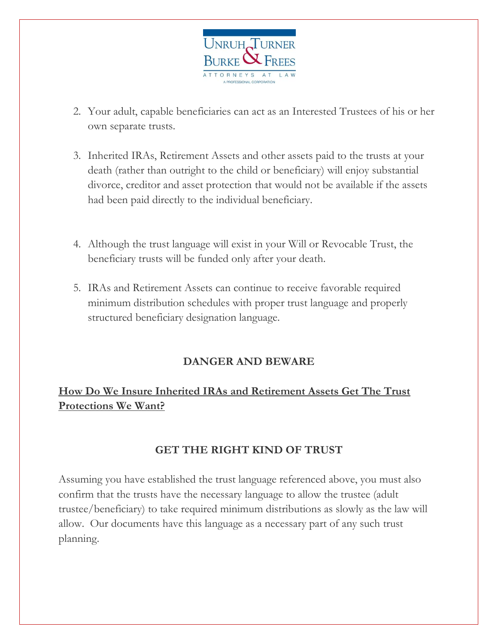

- 2. Your adult, capable beneficiaries can act as an Interested Trustees of his or her own separate trusts.
- 3. Inherited IRAs, Retirement Assets and other assets paid to the trusts at your death (rather than outright to the child or beneficiary) will enjoy substantial divorce, creditor and asset protection that would not be available if the assets had been paid directly to the individual beneficiary.
- 4. Although the trust language will exist in your Will or Revocable Trust, the beneficiary trusts will be funded only after your death.
- 5. IRAs and Retirement Assets can continue to receive favorable required minimum distribution schedules with proper trust language and properly structured beneficiary designation language.

#### **DANGER AND BEWARE**

## **How Do We Insure Inherited IRAs and Retirement Assets Get The Trust Protections We Want?**

#### **GET THE RIGHT KIND OF TRUST**

Assuming you have established the trust language referenced above, you must also confirm that the trusts have the necessary language to allow the trustee (adult trustee/beneficiary) to take required minimum distributions as slowly as the law will allow. Our documents have this language as a necessary part of any such trust planning.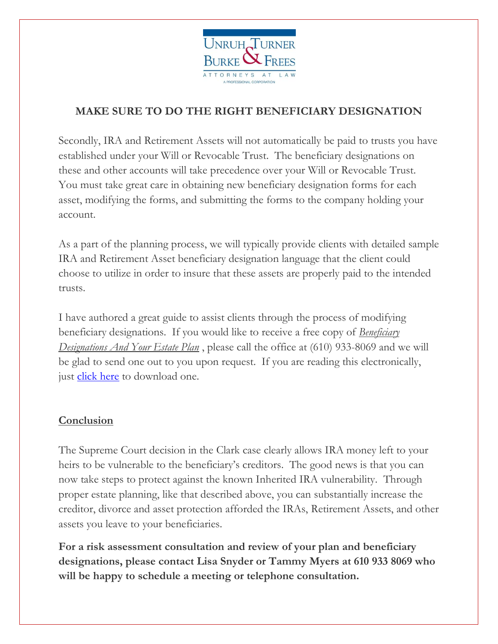

## **MAKE SURE TO DO THE RIGHT BENEFICIARY DESIGNATION**

Secondly, IRA and Retirement Assets will not automatically be paid to trusts you have established under your Will or Revocable Trust. The beneficiary designations on these and other accounts will take precedence over your Will or Revocable Trust. You must take great care in obtaining new beneficiary designation forms for each asset, modifying the forms, and submitting the forms to the company holding your account.

As a part of the planning process, we will typically provide clients with detailed sample IRA and Retirement Asset beneficiary designation language that the client could choose to utilize in order to insure that these assets are properly paid to the intended trusts.

I have authored a great guide to assist clients through the process of modifying beneficiary designations. If you would like to receive a free copy of *Beneficiary Designations And Your Estate Plan* , please call the office at (610) 933-8069 and we will be glad to send one out to you upon request. If you are reading this electronically, just [click here](http://bit.ly/BDReport) to download one.

### **Conclusion**

The Supreme Court decision in the Clark case clearly allows IRA money left to your heirs to be vulnerable to the beneficiary's creditors. The good news is that you can now take steps to protect against the known Inherited IRA vulnerability. Through proper estate planning, like that described above, you can substantially increase the creditor, divorce and asset protection afforded the IRAs, Retirement Assets, and other assets you leave to your beneficiaries.

**For a risk assessment consultation and review of your plan and beneficiary designations, please contact Lisa Snyder or Tammy Myers at 610 933 8069 who will be happy to schedule a meeting or telephone consultation.**